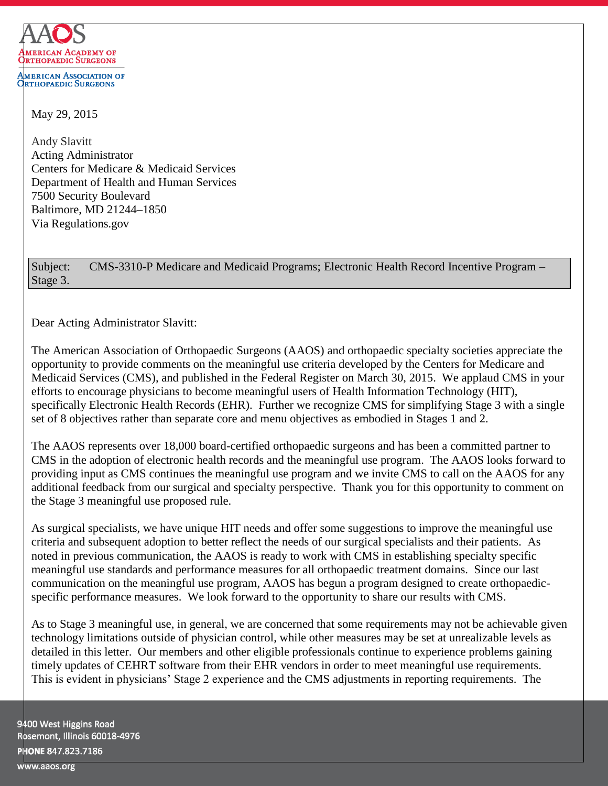

May 29, 2015

Andy Slavitt Acting Administrator Centers for Medicare & Medicaid Services Department of Health and Human Services 7500 Security Boulevard Baltimore, MD 21244–1850 Via Regulations.gov

Subject: CMS-3310-P Medicare and Medicaid Programs; Electronic Health Record Incentive Program – Stage 3.

Dear Acting Administrator Slavitt:

The American Association of Orthopaedic Surgeons (AAOS) and orthopaedic specialty societies appreciate the opportunity to provide comments on the meaningful use criteria developed by the Centers for Medicare and Medicaid Services (CMS), and published in the Federal Register on March 30, 2015. We applaud CMS in your efforts to encourage physicians to become meaningful users of Health Information Technology (HIT), specifically Electronic Health Records (EHR). Further we recognize CMS for simplifying Stage 3 with a single set of 8 objectives rather than separate core and menu objectives as embodied in Stages 1 and 2.

The AAOS represents over 18,000 board-certified orthopaedic surgeons and has been a committed partner to CMS in the adoption of electronic health records and the meaningful use program. The AAOS looks forward to providing input as CMS continues the meaningful use program and we invite CMS to call on the AAOS for any additional feedback from our surgical and specialty perspective. Thank you for this opportunity to comment on the Stage 3 meaningful use proposed rule.

As surgical specialists, we have unique HIT needs and offer some suggestions to improve the meaningful use criteria and subsequent adoption to better reflect the needs of our surgical specialists and their patients. As noted in previous communication, the AAOS is ready to work with CMS in establishing specialty specific meaningful use standards and performance measures for all orthopaedic treatment domains. Since our last communication on the meaningful use program, AAOS has begun a program designed to create orthopaedicspecific performance measures. We look forward to the opportunity to share our results with CMS.

As to Stage 3 meaningful use, in general, we are concerned that some requirements may not be achievable given technology limitations outside of physician control, while other measures may be set at unrealizable levels as detailed in this letter. Our members and other eligible professionals continue to experience problems gaining timely updates of CEHRT software from their EHR vendors in order to meet meaningful use requirements. This is evident in physicians' Stage 2 experience and the CMS adjustments in reporting requirements. The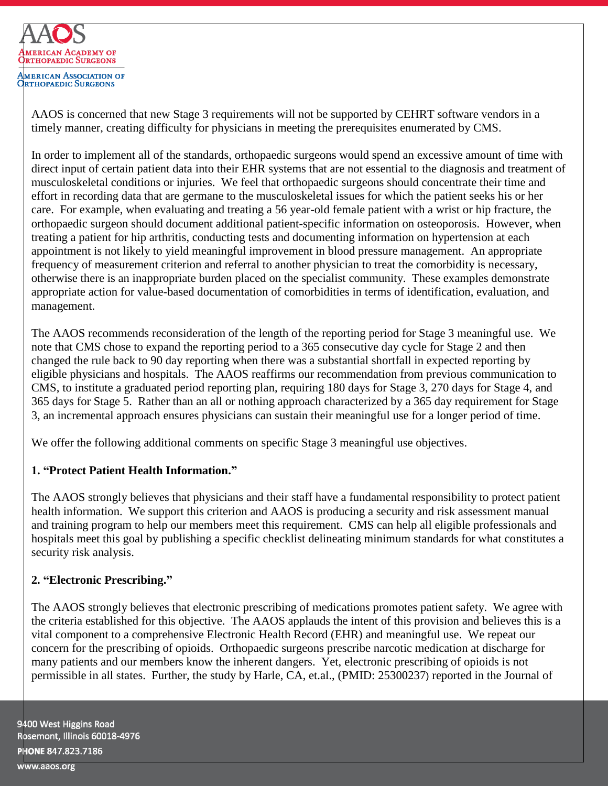

AAOS is concerned that new Stage 3 requirements will not be supported by CEHRT software vendors in a timely manner, creating difficulty for physicians in meeting the prerequisites enumerated by CMS.

In order to implement all of the standards, orthopaedic surgeons would spend an excessive amount of time with direct input of certain patient data into their EHR systems that are not essential to the diagnosis and treatment of musculoskeletal conditions or injuries. We feel that orthopaedic surgeons should concentrate their time and effort in recording data that are germane to the musculoskeletal issues for which the patient seeks his or her care. For example, when evaluating and treating a 56 year-old female patient with a wrist or hip fracture, the orthopaedic surgeon should document additional patient-specific information on osteoporosis. However, when treating a patient for hip arthritis, conducting tests and documenting information on hypertension at each appointment is not likely to yield meaningful improvement in blood pressure management. An appropriate frequency of measurement criterion and referral to another physician to treat the comorbidity is necessary, otherwise there is an inappropriate burden placed on the specialist community. These examples demonstrate appropriate action for value-based documentation of comorbidities in terms of identification, evaluation, and management.

The AAOS recommends reconsideration of the length of the reporting period for Stage 3 meaningful use. We note that CMS chose to expand the reporting period to a 365 consecutive day cycle for Stage 2 and then changed the rule back to 90 day reporting when there was a substantial shortfall in expected reporting by eligible physicians and hospitals. The AAOS reaffirms our recommendation from previous communication to CMS, to institute a graduated period reporting plan, requiring 180 days for Stage 3, 270 days for Stage 4, and 365 days for Stage 5. Rather than an all or nothing approach characterized by a 365 day requirement for Stage 3, an incremental approach ensures physicians can sustain their meaningful use for a longer period of time.

We offer the following additional comments on specific Stage 3 meaningful use objectives.

# **1. "Protect Patient Health Information."**

The AAOS strongly believes that physicians and their staff have a fundamental responsibility to protect patient health information. We support this criterion and AAOS is producing a security and risk assessment manual and training program to help our members meet this requirement. CMS can help all eligible professionals and hospitals meet this goal by publishing a specific checklist delineating minimum standards for what constitutes a security risk analysis.

# **2. "Electronic Prescribing."**

The AAOS strongly believes that electronic prescribing of medications promotes patient safety. We agree with the criteria established for this objective. The AAOS applauds the intent of this provision and believes this is a vital component to a comprehensive Electronic Health Record (EHR) and meaningful use. We repeat our concern for the prescribing of opioids. Orthopaedic surgeons prescribe narcotic medication at discharge for many patients and our members know the inherent dangers. Yet, electronic prescribing of opioids is not permissible in all states. Further, the study by Harle, CA, et.al., (PMID: 25300237) reported in the Journal of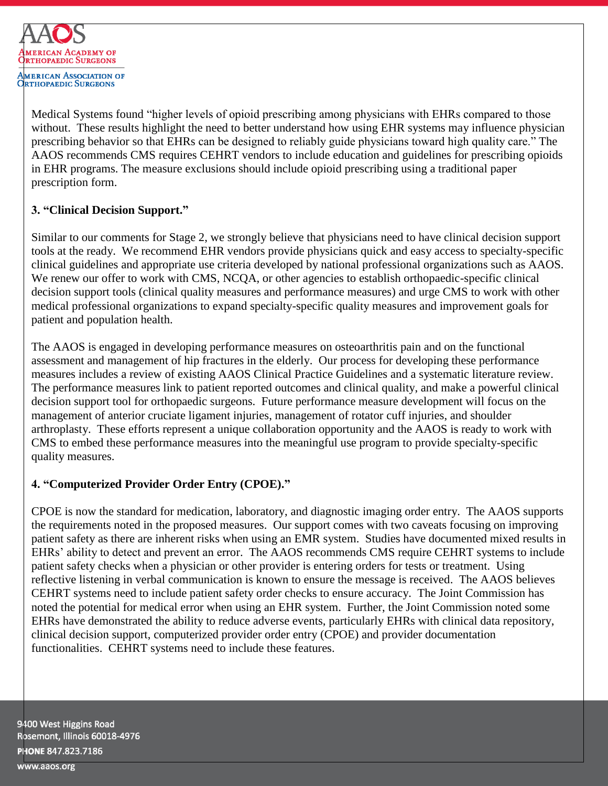

Medical Systems found "higher levels of opioid prescribing among physicians with EHRs compared to those without. These results highlight the need to better understand how using EHR systems may influence physician prescribing behavior so that EHRs can be designed to reliably guide physicians toward high quality care." The AAOS recommends CMS requires CEHRT vendors to include education and guidelines for prescribing opioids in EHR programs. The measure exclusions should include opioid prescribing using a traditional paper prescription form.

## **3. "Clinical Decision Support."**

Similar to our comments for Stage 2, we strongly believe that physicians need to have clinical decision support tools at the ready. We recommend EHR vendors provide physicians quick and easy access to specialty-specific clinical guidelines and appropriate use criteria developed by national professional organizations such as AAOS. We renew our offer to work with CMS, NCQA, or other agencies to establish orthopaedic-specific clinical decision support tools (clinical quality measures and performance measures) and urge CMS to work with other medical professional organizations to expand specialty-specific quality measures and improvement goals for patient and population health.

The AAOS is engaged in developing performance measures on osteoarthritis pain and on the functional assessment and management of hip fractures in the elderly. Our process for developing these performance measures includes a review of existing AAOS Clinical Practice Guidelines and a systematic literature review. The performance measures link to patient reported outcomes and clinical quality, and make a powerful clinical decision support tool for orthopaedic surgeons. Future performance measure development will focus on the management of anterior cruciate ligament injuries, management of rotator cuff injuries, and shoulder arthroplasty. These efforts represent a unique collaboration opportunity and the AAOS is ready to work with CMS to embed these performance measures into the meaningful use program to provide specialty-specific quality measures.

# **4. "Computerized Provider Order Entry (CPOE)."**

CPOE is now the standard for medication, laboratory, and diagnostic imaging order entry. The AAOS supports the requirements noted in the proposed measures. Our support comes with two caveats focusing on improving patient safety as there are inherent risks when using an EMR system. Studies have documented mixed results in EHRs' ability to detect and prevent an error. The AAOS recommends CMS require CEHRT systems to include patient safety checks when a physician or other provider is entering orders for tests or treatment. Using reflective listening in verbal communication is known to ensure the message is received. The AAOS believes CEHRT systems need to include patient safety order checks to ensure accuracy. The Joint Commission has noted the potential for medical error when using an EHR system. Further, the Joint Commission noted some EHRs have demonstrated the ability to reduce adverse events, particularly EHRs with clinical data repository, clinical decision support, computerized provider order entry (CPOE) and provider documentation functionalities. CEHRT systems need to include these features.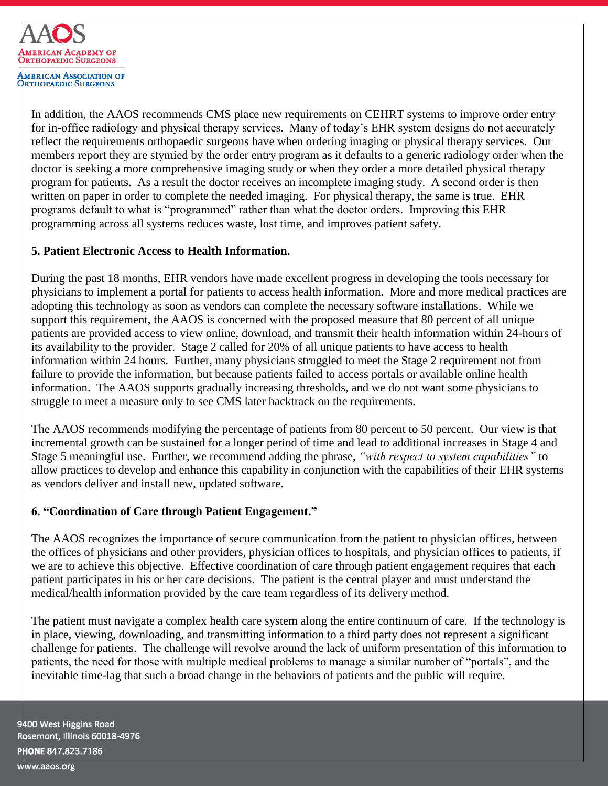

**MERICAN ASSOCIATION OF RTHOPAEDIC SURGEONS** 

In addition, the AAOS recommends CMS place new requirements on CEHRT systems to improve order entry for in-office radiology and physical therapy services. Many of today's EHR system designs do not accurately reflect the requirements orthopaedic surgeons have when ordering imaging or physical therapy services. Our members report they are stymied by the order entry program as it defaults to a generic radiology order when the doctor is seeking a more comprehensive imaging study or when they order a more detailed physical therapy program for patients. As a result the doctor receives an incomplete imaging study. A second order is then written on paper in order to complete the needed imaging. For physical therapy, the same is true. EHR programs default to what is "programmed" rather than what the doctor orders. Improving this EHR programming across all systems reduces waste, lost time, and improves patient safety.

## **5. Patient Electronic Access to Health Information.**

During the past 18 months, EHR vendors have made excellent progress in developing the tools necessary for physicians to implement a portal for patients to access health information. More and more medical practices are adopting this technology as soon as vendors can complete the necessary software installations. While we support this requirement, the AAOS is concerned with the proposed measure that 80 percent of all unique patients are provided access to view online, download, and transmit their health information within 24-hours of its availability to the provider. Stage 2 called for 20% of all unique patients to have access to health information within 24 hours. Further, many physicians struggled to meet the Stage 2 requirement not from failure to provide the information, but because patients failed to access portals or available online health information. The AAOS supports gradually increasing thresholds, and we do not want some physicians to struggle to meet a measure only to see CMS later backtrack on the requirements.

The AAOS recommends modifying the percentage of patients from 80 percent to 50 percent. Our view is that incremental growth can be sustained for a longer period of time and lead to additional increases in Stage 4 and Stage 5 meaningful use. Further, we recommend adding the phrase, *"with respect to system capabilities"* to allow practices to develop and enhance this capability in conjunction with the capabilities of their EHR systems as vendors deliver and install new, updated software.

# **6. "Coordination of Care through Patient Engagement."**

The AAOS recognizes the importance of secure communication from the patient to physician offices, between the offices of physicians and other providers, physician offices to hospitals, and physician offices to patients, if we are to achieve this objective. Effective coordination of care through patient engagement requires that each patient participates in his or her care decisions. The patient is the central player and must understand the medical/health information provided by the care team regardless of its delivery method.

The patient must navigate a complex health care system along the entire continuum of care. If the technology is in place, viewing, downloading, and transmitting information to a third party does not represent a significant challenge for patients. The challenge will revolve around the lack of uniform presentation of this information to patients, the need for those with multiple medical problems to manage a similar number of "portals", and the inevitable time-lag that such a broad change in the behaviors of patients and the public will require.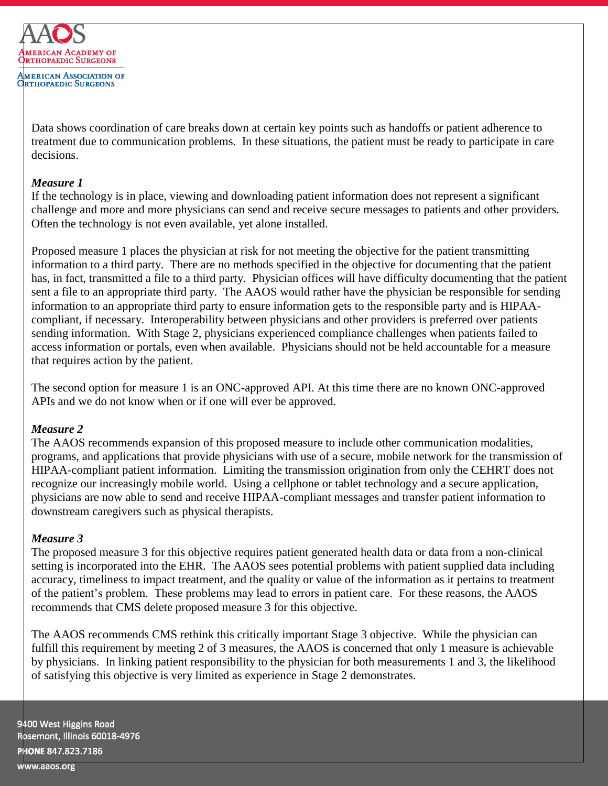

Data shows coordination of care breaks down at certain key points such as handoffs or patient adherence to treatment due to communication problems. In these situations, the patient must be ready to participate in care decisions.

### *Measure 1*

If the technology is in place, viewing and downloading patient information does not represent a significant challenge and more and more physicians can send and receive secure messages to patients and other providers. Often the technology is not even available, yet alone installed.

Proposed measure 1 places the physician at risk for not meeting the objective for the patient transmitting information to a third party. There are no methods specified in the objective for documenting that the patient has, in fact, transmitted a file to a third party. Physician offices will have difficulty documenting that the patient sent a file to an appropriate third party. The AAOS would rather have the physician be responsible for sending information to an appropriate third party to ensure information gets to the responsible party and is HIPAAcompliant, if necessary. Interoperability between physicians and other providers is preferred over patients sending information. With Stage 2, physicians experienced compliance challenges when patients failed to access information or portals, even when available. Physicians should not be held accountable for a measure that requires action by the patient.

The second option for measure 1 is an ONC-approved API. At this time there are no known ONC-approved APIs and we do not know when or if one will ever be approved.

## *Measure 2*

The AAOS recommends expansion of this proposed measure to include other communication modalities, programs, and applications that provide physicians with use of a secure, mobile network for the transmission of HIPAA-compliant patient information. Limiting the transmission origination from only the CEHRT does not recognize our increasingly mobile world. Using a cellphone or tablet technology and a secure application, physicians are now able to send and receive HIPAA-compliant messages and transfer patient information to downstream caregivers such as physical therapists.

## *Measure 3*

The proposed measure 3 for this objective requires patient generated health data or data from a non-clinical setting is incorporated into the EHR. The AAOS sees potential problems with patient supplied data including accuracy, timeliness to impact treatment, and the quality or value of the information as it pertains to treatment of the patient's problem. These problems may lead to errors in patient care. For these reasons, the AAOS recommends that CMS delete proposed measure 3 for this objective.

The AAOS recommends CMS rethink this critically important Stage 3 objective. While the physician can fulfill this requirement by meeting 2 of 3 measures, the AAOS is concerned that only 1 measure is achievable by physicians. In linking patient responsibility to the physician for both measurements 1 and 3, the likelihood of satisfying this objective is very limited as experience in Stage 2 demonstrates.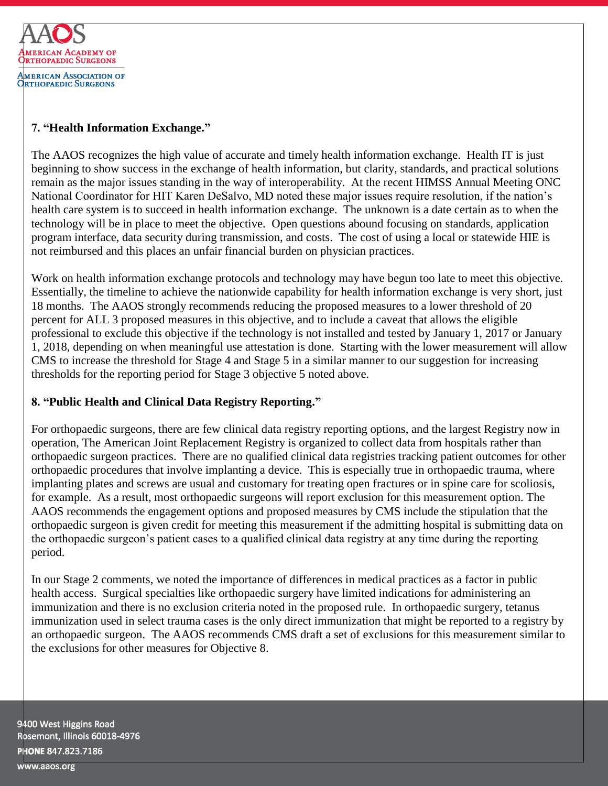

## **7. "Health Information Exchange."**

The AAOS recognizes the high value of accurate and timely health information exchange. Health IT is just beginning to show success in the exchange of health information, but clarity, standards, and practical solutions remain as the major issues standing in the way of interoperability. At the recent HIMSS Annual Meeting ONC National Coordinator for HIT Karen DeSalvo, MD noted these major issues require resolution, if the nation's health care system is to succeed in health information exchange. The unknown is a date certain as to when the technology will be in place to meet the objective. Open questions abound focusing on standards, application program interface, data security during transmission, and costs. The cost of using a local or statewide HIE is not reimbursed and this places an unfair financial burden on physician practices.

Work on health information exchange protocols and technology may have begun too late to meet this objective. Essentially, the timeline to achieve the nationwide capability for health information exchange is very short, just 18 months. The AAOS strongly recommends reducing the proposed measures to a lower threshold of 20 percent for ALL 3 proposed measures in this objective, and to include a caveat that allows the eligible professional to exclude this objective if the technology is not installed and tested by January 1, 2017 or January 1, 2018, depending on when meaningful use attestation is done. Starting with the lower measurement will allow CMS to increase the threshold for Stage 4 and Stage 5 in a similar manner to our suggestion for increasing thresholds for the reporting period for Stage 3 objective 5 noted above.

# **8. "Public Health and Clinical Data Registry Reporting."**

For orthopaedic surgeons, there are few clinical data registry reporting options, and the largest Registry now in operation, The American Joint Replacement Registry is organized to collect data from hospitals rather than orthopaedic surgeon practices. There are no qualified clinical data registries tracking patient outcomes for other orthopaedic procedures that involve implanting a device. This is especially true in orthopaedic trauma, where implanting plates and screws are usual and customary for treating open fractures or in spine care for scoliosis, for example. As a result, most orthopaedic surgeons will report exclusion for this measurement option. The AAOS recommends the engagement options and proposed measures by CMS include the stipulation that the orthopaedic surgeon is given credit for meeting this measurement if the admitting hospital is submitting data on the orthopaedic surgeon's patient cases to a qualified clinical data registry at any time during the reporting period.

In our Stage 2 comments, we noted the importance of differences in medical practices as a factor in public health access. Surgical specialties like orthopaedic surgery have limited indications for administering an immunization and there is no exclusion criteria noted in the proposed rule. In orthopaedic surgery, tetanus immunization used in select trauma cases is the only direct immunization that might be reported to a registry by an orthopaedic surgeon. The AAOS recommends CMS draft a set of exclusions for this measurement similar to the exclusions for other measures for Objective 8.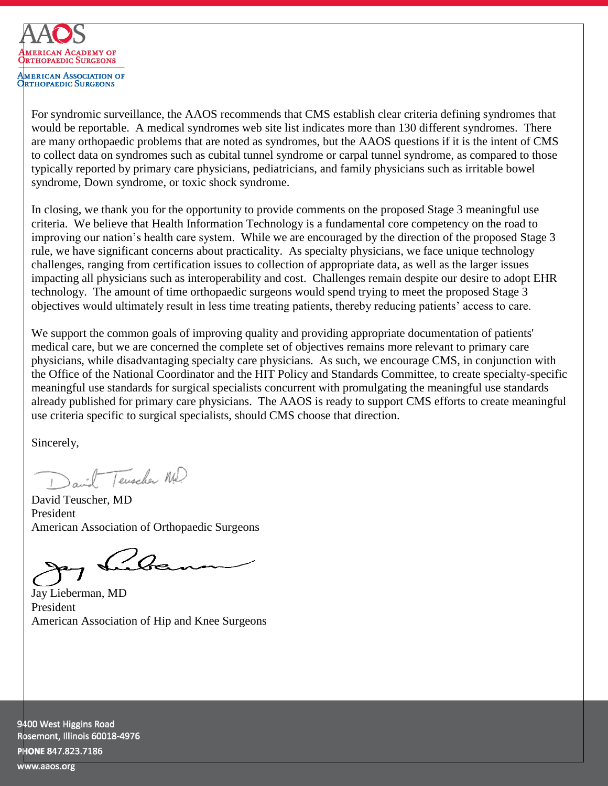

For syndromic surveillance, the AAOS recommends that CMS establish clear criteria defining syndromes that would be reportable. A medical syndromes web site list indicates more than 130 different syndromes. There are many orthopaedic problems that are noted as syndromes, but the AAOS questions if it is the intent of CMS to collect data on syndromes such as cubital tunnel syndrome or carpal tunnel syndrome, as compared to those typically reported by primary care physicians, pediatricians, and family physicians such as irritable bowel syndrome, Down syndrome, or toxic shock syndrome.

In closing, we thank you for the opportunity to provide comments on the proposed Stage 3 meaningful use criteria. We believe that Health Information Technology is a fundamental core competency on the road to improving our nation's health care system. While we are encouraged by the direction of the proposed Stage 3 rule, we have significant concerns about practicality. As specialty physicians, we face unique technology challenges, ranging from certification issues to collection of appropriate data, as well as the larger issues impacting all physicians such as interoperability and cost. Challenges remain despite our desire to adopt EHR technology. The amount of time orthopaedic surgeons would spend trying to meet the proposed Stage 3 objectives would ultimately result in less time treating patients, thereby reducing patients' access to care.

We support the common goals of improving quality and providing appropriate documentation of patients' medical care, but we are concerned the complete set of objectives remains more relevant to primary care physicians, while disadvantaging specialty care physicians. As such, we encourage CMS, in conjunction with the Office of the National Coordinator and the HIT Policy and Standards Committee, to create specialty-specific meaningful use standards for surgical specialists concurrent with promulgating the meaningful use standards already published for primary care physicians. The AAOS is ready to support CMS efforts to create meaningful use criteria specific to surgical specialists, should CMS choose that direction.

Sincerely,

and Tenscher MD.

David Teuscher, MD President American Association of Orthopaedic Surgeons

 $Q_{Q}$ 

Jay Lieberman, MD President American Association of Hip and Knee Surgeons

9400 West Higgins Road Rosemont, Illinois 60018-4976 PHONE 847.823.7186

www.aaos.org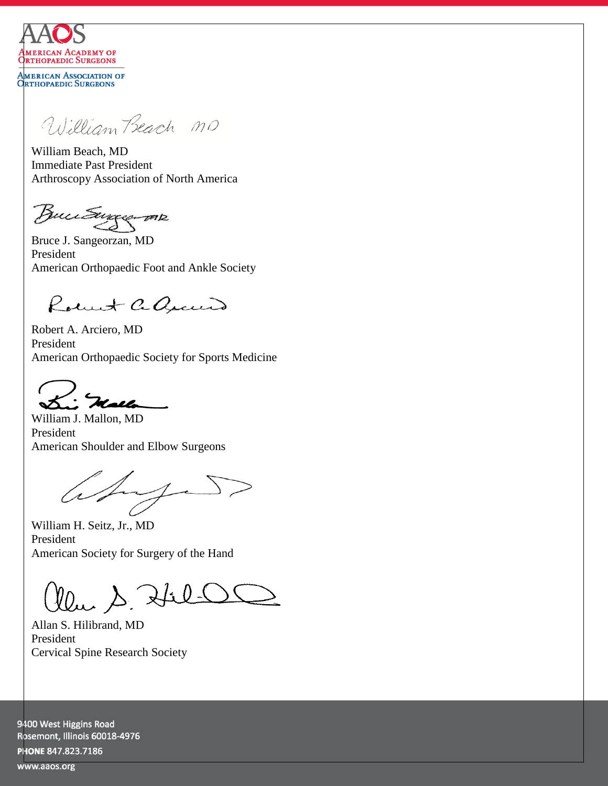

**MERICAN ASSOCIATION OF ORTHOPAEDIC SURGEONS** 

William Beach MO

William Beach, MD Immediate Past President Arthroscopy Association of North America

Buutungerme

Bruce J. Sangeorzan, MD President American Orthopaedic Foot and Ankle Society

Robert adjacent

Robert A. Arciero, MD President American Orthopaedic Society for Sports Medicine

 $\sim$   $\sim$ 

William J. Mallon, MD President American Shoulder and Elbow Surgeons

aby D

William H. Seitz, Jr., MD President American Society for Surgery of the Hand

Clear S. Hil-OC

Allan S. Hilibrand, MD President Cervical Spine Research Society

9400 West Higgins Road Rosemont, Illinois 60018-4976 PHONE 847.823.7186